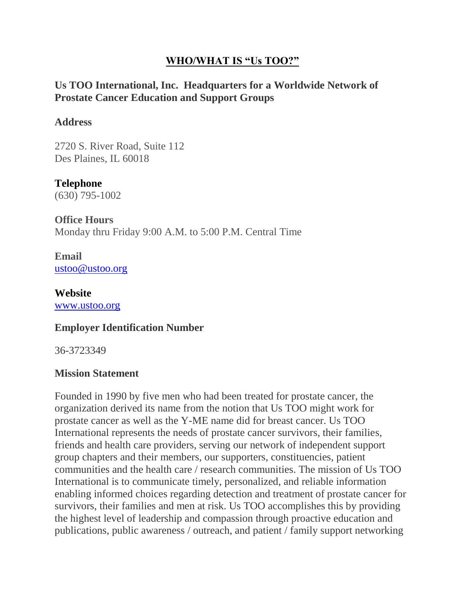# **WHO/WHAT IS "Us TOO?"**

# **Us TOO International, Inc. Headquarters for a Worldwide Network of Prostate Cancer Education and Support Groups**

#### **Address**

2720 S. River Road, Suite 112 Des Plaines, IL 60018

**Telephone** (630) 795-1002

**Office Hours** Monday thru Friday 9:00 A.M. to 5:00 P.M. Central Time

**Email** [ustoo@ustoo.org](mailto:ustoo@ustoo.org)

**Website** [www.ustoo.org](http://www.ustoo.org/)

### **Employer Identification Number**

36-3723349

### **Mission Statement**

Founded in 1990 by five men who had been treated for prostate cancer, the organization derived its name from the notion that Us TOO might work for prostate cancer as well as the Y-ME name did for breast cancer. Us TOO International represents the needs of prostate cancer survivors, their families, friends and health care providers, serving our network of independent support group chapters and their members, our supporters, constituencies, patient communities and the health care / research communities. The mission of Us TOO International is to communicate timely, personalized, and reliable information enabling informed choices regarding detection and treatment of prostate cancer for survivors, their families and men at risk. Us TOO accomplishes this by providing the highest level of leadership and compassion through proactive education and publications, public awareness / outreach, and patient / family support networking